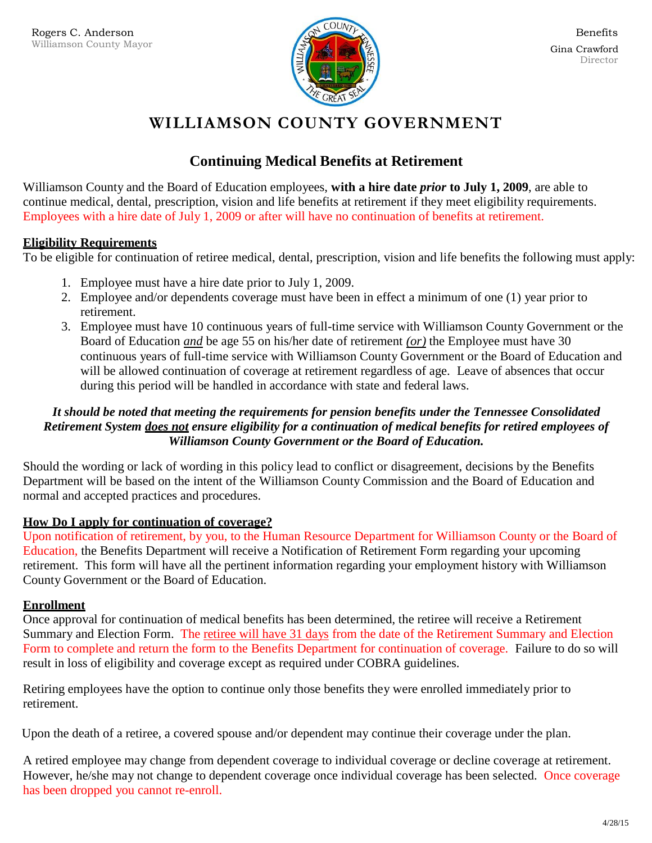

# **WILLIAMSON COUNTY GOVERNMENT**

## **Continuing Medical Benefits at Retirement**

Williamson County and the Board of Education employees, **with a hire date** *prior* **to July 1, 2009**, are able to continue medical, dental, prescription, vision and life benefits at retirement if they meet eligibility requirements. Employees with a hire date of July 1, 2009 or after will have no continuation of benefits at retirement.

## **Eligibility Requirements**

To be eligible for continuation of retiree medical, dental, prescription, vision and life benefits the following must apply:

- 1. Employee must have a hire date prior to July 1, 2009.
- 2. Employee and/or dependents coverage must have been in effect a minimum of one (1) year prior to retirement.
- 3. Employee must have 10 continuous years of full-time service with Williamson County Government or the Board of Education *and* be age 55 on his/her date of retirement *(or)* the Employee must have 30 continuous years of full-time service with Williamson County Government or the Board of Education and will be allowed continuation of coverage at retirement regardless of age. Leave of absences that occur during this period will be handled in accordance with state and federal laws.

## *It should be noted that meeting the requirements for pension benefits under the Tennessee Consolidated Retirement System does not ensure eligibility for a continuation of medical benefits for retired employees of Williamson County Government or the Board of Education.*

Should the wording or lack of wording in this policy lead to conflict or disagreement, decisions by the Benefits Department will be based on the intent of the Williamson County Commission and the Board of Education and normal and accepted practices and procedures.

### **How Do I apply for continuation of coverage?**

Upon notification of retirement, by you, to the Human Resource Department for Williamson County or the Board of Education, the Benefits Department will receive a Notification of Retirement Form regarding your upcoming retirement. This form will have all the pertinent information regarding your employment history with Williamson County Government or the Board of Education.

### **Enrollment**

Once approval for continuation of medical benefits has been determined, the retiree will receive a Retirement Summary and Election Form. The retiree will have 31 days from the date of the Retirement Summary and Election Form to complete and return the form to the Benefits Department for continuation of coverage. Failure to do so will result in loss of eligibility and coverage except as required under COBRA guidelines.

Retiring employees have the option to continue only those benefits they were enrolled immediately prior to retirement.

Upon the death of a retiree, a covered spouse and/or dependent may continue their coverage under the plan.

A retired employee may change from dependent coverage to individual coverage or decline coverage at retirement. However, he/she may not change to dependent coverage once individual coverage has been selected. Once coverage has been dropped you cannot re-enroll.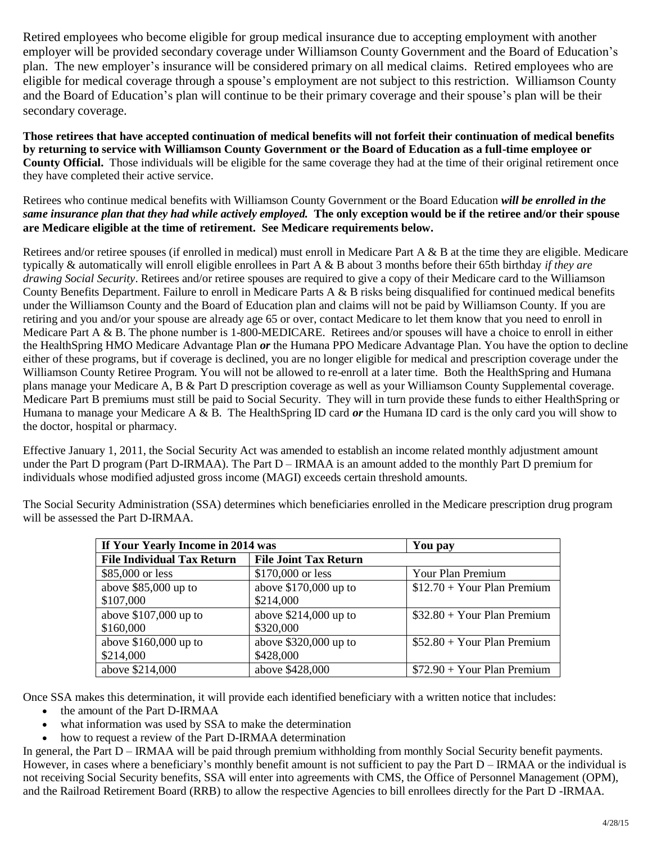Retired employees who become eligible for group medical insurance due to accepting employment with another employer will be provided secondary coverage under Williamson County Government and the Board of Education's plan. The new employer's insurance will be considered primary on all medical claims. Retired employees who are eligible for medical coverage through a spouse's employment are not subject to this restriction. Williamson County and the Board of Education's plan will continue to be their primary coverage and their spouse's plan will be their secondary coverage.

**Those retirees that have accepted continuation of medical benefits will not forfeit their continuation of medical benefits by returning to service with Williamson County Government or the Board of Education as a full-time employee or County Official.** Those individuals will be eligible for the same coverage they had at the time of their original retirement once they have completed their active service.

Retirees who continue medical benefits with Williamson County Government or the Board Education *will be enrolled in the same insurance plan that they had while actively employed.* **The only exception would be if the retiree and/or their spouse are Medicare eligible at the time of retirement. See Medicare requirements below.**

Retirees and/or retiree spouses (if enrolled in medical) must enroll in Medicare Part A & B at the time they are eligible. Medicare typically & automatically will enroll eligible enrollees in Part A & B about 3 months before their 65th birthday *if they are drawing Social Security*. Retirees and/or retiree spouses are required to give a copy of their Medicare card to the Williamson County Benefits Department. Failure to enroll in Medicare Parts A & B risks being disqualified for continued medical benefits under the Williamson County and the Board of Education plan and claims will not be paid by Williamson County. If you are retiring and you and/or your spouse are already age 65 or over, contact Medicare to let them know that you need to enroll in Medicare Part A & B. The phone number is 1-800-MEDICARE. Retirees and/or spouses will have a choice to enroll in either the HealthSpring HMO Medicare Advantage Plan *or* the Humana PPO Medicare Advantage Plan. You have the option to decline either of these programs, but if coverage is declined, you are no longer eligible for medical and prescription coverage under the Williamson County Retiree Program. You will not be allowed to re-enroll at a later time. Both the HealthSpring and Humana plans manage your Medicare A, B & Part D prescription coverage as well as your Williamson County Supplemental coverage. Medicare Part B premiums must still be paid to Social Security. They will in turn provide these funds to either HealthSpring or Humana to manage your Medicare A & B. The HealthSpring ID card *or* the Humana ID card is the only card you will show to the doctor, hospital or pharmacy.

Effective January 1, 2011, the Social Security Act was amended to establish an income related monthly adjustment amount under the Part D program (Part D-IRMAA). The Part D – IRMAA is an amount added to the monthly Part D premium for individuals whose modified adjusted gross income (MAGI) exceeds certain threshold amounts.

| If Your Yearly Income in 2014 was |                              | You pay                      |
|-----------------------------------|------------------------------|------------------------------|
| <b>File Individual Tax Return</b> | <b>File Joint Tax Return</b> |                              |
| \$85,000 or less                  | \$170,000 or less            | Your Plan Premium            |
| above $$85,000$ up to             | above $$170,000$ up to       | $$12.70 + Your Plan$ Premium |
| \$107,000                         | \$214,000                    |                              |
| above $$107,000$ up to            | above $$214,000$ up to       | $$32.80 + Your Plan$ Premium |
| \$160,000                         | \$320,000                    |                              |
| above \$160,000 up to             | above $$320,000$ up to       | $$52.80 + Your Plan$ Premium |
| \$214,000                         | \$428,000                    |                              |
| above \$214,000                   | above \$428,000              | $$72.90 + Your Plan$ Premium |

The Social Security Administration (SSA) determines which beneficiaries enrolled in the Medicare prescription drug program will be assessed the Part D-IRMAA.

Once SSA makes this determination, it will provide each identified beneficiary with a written notice that includes:

- the amount of the Part D-IRMAA
- what information was used by SSA to make the determination
- how to request a review of the Part D-IRMAA determination

In general, the Part D – IRMAA will be paid through premium withholding from monthly Social Security benefit payments. However, in cases where a beneficiary's monthly benefit amount is not sufficient to pay the Part  $D - IRMAA$  or the individual is not receiving Social Security benefits, SSA will enter into agreements with CMS, the Office of Personnel Management (OPM), and the Railroad Retirement Board (RRB) to allow the respective Agencies to bill enrollees directly for the Part D -IRMAA.